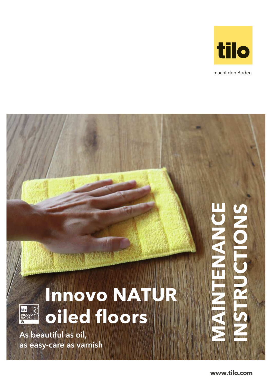

macht den Boden.

# ENANCE **MAINTENANCE INSTRUCTIONS Innovo NATUR**  tilo<br>INN **oiled floors** As beautiful as oil, as easy-care as varnish

**www.tilo.com**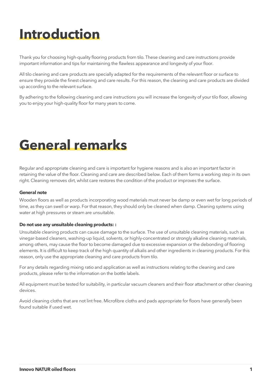### **Introduction**

Thank you for choosing high-quality flooring products from tilo. These cleaning and care instructions provide important information and tips for maintaining the flawless appearance and longevity of your floor.

All tilo cleaning and care products are specially adapted for the requirements of the relevant floor or surface to ensure they provide the finest cleaning and care results. For this reason, the cleaning and care products are divided up according to the relevant surface.

By adhering to the following cleaning and care instructions you will increase the longevity of your tilo floor, allowing you to enjoy your high-quality floor for many years to come.

### **General remarks**

Regular and appropriate cleaning and care is important for hygiene reasons and is also an important factor in retaining the value of the floor. Cleaning and care are described below. Each of them forms a working step in its own right. Cleaning removes dirt, whilst care restores the condition of the product or improves the surface.

#### **General note**

Wooden floors as well as products incorporating wood materials must never be damp or even wet for long periods of time, as they can swell or warp. For that reason, they should only be cleaned when damp. Cleaning systems using water at high pressures or steam are unsuitable.

#### **Do not use any unsuitable cleaning products: :**

Unsuitable cleaning products can cause damage to the surface. The use of unsuitable cleaning materials, such as vinegar-based cleaners, washing-up liquid, solvents, or highly-concentrated or strongly alkaline cleaning materials, among others, may cause the floor to become damaged due to excessive expansion or the debonding of flooring elements. It is difficult to keep track of the high quantity of alkalis and other ingredients in cleaning products. For this reason, only use the appropriate cleaning and care products from tilo.

For any details regarding mixing ratio and application as well as instructions relating to the cleaning and care products, please refer to the information on the bottle labels.

All equipment must be tested for suitability, in particular vacuum cleaners and their floor attachment or other cleaning devices.

Avoid cleaning cloths that are not lint free. Microfibre cloths and pads appropriate for floors have generally been found suitable if used wet.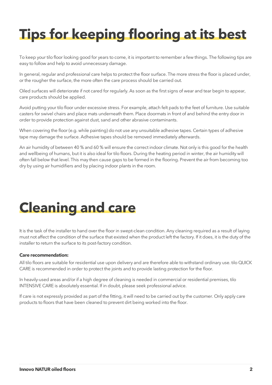# **Tips for keeping flooring at its best**

To keep your tilo floor looking good for years to come, it is important to remember a few things. The following tips are easy to follow and help to avoid unnecessary damage.

In general, regular and professional care helps to protect the floor surface. The more stress the floor is placed under, or the rougher the surface, the more often the care process should be carried out.

Oiled surfaces will deteriorate if not cared for regularly. As soon as the first signs of wear and tear begin to appear, care products should be applied.

Avoid putting your tilo floor under excessive stress. For example, attach felt pads to the feet of furniture. Use suitable casters for swivel chairs and place mats underneath them. Place doormats in front of and behind the entry door in order to provide protection against dust, sand and other abrasive contaminants.

When covering the floor (e.g. while painting) do not use any unsuitable adhesive tapes. Certain types of adhesive tape may damage the surface. Adhesive tapes should be removed immediately afterwards.

An air humidity of between 40 % and 60 % will ensure the correct indoor climate. Not only is this good for the health and wellbeing of humans, but it is also ideal for tilo floors. During the heating period in winter, the air humidity will often fall below that level. This may then cause gaps to be formed in the flooring. Prevent the air from becoming too dry by using air humidifiers and by placing indoor plants in the room.

### **Cleaning and care**

It is the task of the installer to hand over the floor in swept-clean condition. Any cleaning required as a result of laying must not affect the condition of the surface that existed when the product left the factory. If it does, it is the duty of the installer to return the surface to its post-factory condition.

### **Care recommendation:**

All tilo floors are suitable for residential use upon delivery and are therefore able to withstand ordinary use. tilo QUICK CARE is recommended in order to protect the joints and to provide lasting protection for the floor.

In heavily-used areas and/or if a high degree of cleaning is needed in commercial or residential premises, tilo INTENSIVE CARE is absolutely essential. If in doubt, please seek professional advice.

If care is not expressly provided as part of the fitting, it will need to be carried out by the customer. Only apply care products to floors that have been cleaned to prevent dirt being worked into the floor.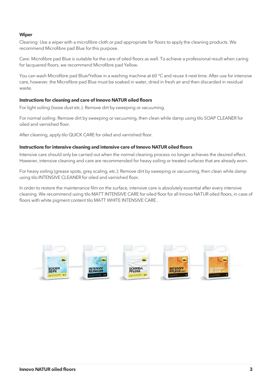### **Wiper**

Cleaning: Use a wiper with a microfibre cloth or pad appropriate for floors to apply the cleaning products. We recommend Microfibre pad Blue for this purpose.

Care: Microfibre pad Blue is suitable for the care of oiled floors as well. To achieve a professional result when caring for lacquered floors, we recommend Microfibre pad Yellow.

You can wash Microfibre pad Blue/Yellow in a washing machine at 60 °C and reuse it next time. After use for intensive care, however, the Microfibre pad Blue must be soaked in water, dried in fresh air and then discarded in residual waste.

### **Instructions for cleaning and care of Innovo NATUR oiled floors**

For light soiling (loose dust etc.): Remove dirt by sweeping or vacuuming.

For normal soiling: Remove dirt by sweeping or vacuuming, then clean while damp using tilo SOAP CLEANER for oiled and varnished floor.

After cleaning, apply tilo QUICK CARE for oiled and varnished floor.

#### **Instructions for intensive cleaning and intensive care of Innovo NATUR oiled floors**

Intensive care should only be carried out when the normal cleaning process no longer achieves the desired effect. However, intensive cleaning and care are recommended for heavy soiling or treated surfaces that are already worn.

For heavy soiling (grease spots, grey scaling, etc.): Remove dirt by sweeping or vacuuming, then clean while damp using tilo INTENSIVE CLEANER for oiled and varnished floor.

In order to restore the maintenance film on the surface, intensive care is absolutely essential after every intensive cleaning. We recommend using tilo MATT INTENSIVE CARE for oiled floor for all Innovo NATUR oiled floors, in case of floors with white pigment content tilo MATT WHITE INTENSIVE CARE .